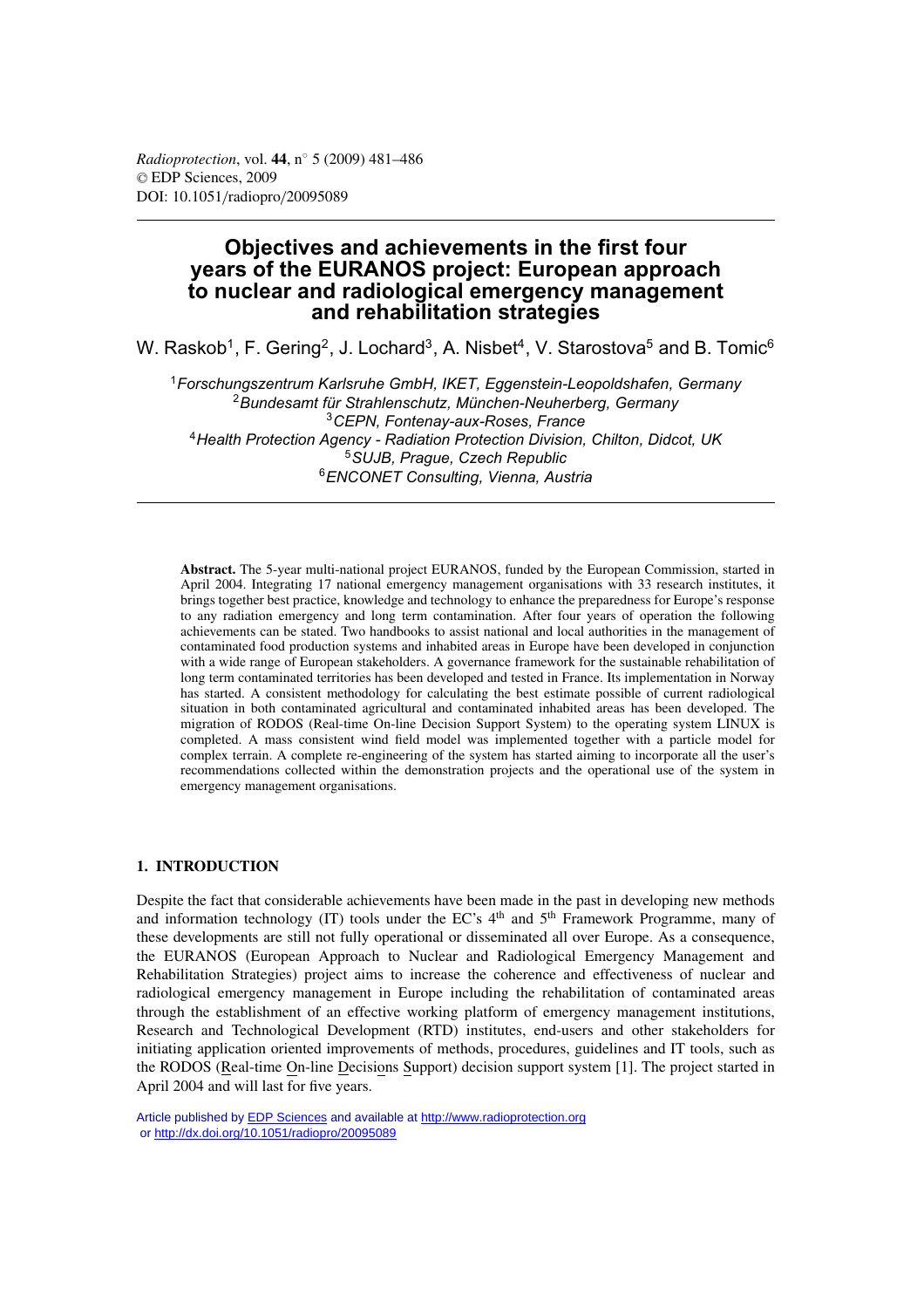# **Objectives and achievements in the first four years of the EURANOS project: European approach to nuclear and radiological emergency management and rehabilitation strategies**

W. Raskob<sup>1</sup>, F. Gering<sup>2</sup>, J. Lochard<sup>3</sup>, A. Nisbet<sup>4</sup>, V. Starostova<sup>5</sup> and B. Tomic<sup>6</sup>

*Forschungszentrum Karlsruhe GmbH, IKET, Eggenstein-Leopoldshafen, Germany Bundesamt für Strahlenschutz, München-Neuherberg, Germany CEPN, Fontenay-aux-Roses, France Health Protection Agency - Radiation Protection Division, Chilton, Didcot, UK SUJB, Prague, Czech Republic ENCONET Consulting, Vienna, Austria*

**Abstract.** The 5-year multi-national project EURANOS, funded by the European Commission, started in April 2004. Integrating 17 national emergency management organisations with 33 research institutes, it brings together best practice, knowledge and technology to enhance the preparedness for Europe's response to any radiation emergency and long term contamination. After four years of operation the following achievements can be stated. Two handbooks to assist national and local authorities in the management of contaminated food production systems and inhabited areas in Europe have been developed in conjunction with a wide range of European stakeholders. A governance framework for the sustainable rehabilitation of long term contaminated territories has been developed and tested in France. Its implementation in Norway has started. A consistent methodology for calculating the best estimate possible of current radiological situation in both contaminated agricultural and contaminated inhabited areas has been developed. The migration of RODOS (Real-time On-line Decision Support System) to the operating system LINUX is completed. A mass consistent wind field model was implemented together with a particle model for complex terrain. A complete re-engineering of the system has started aiming to incorporate all the user's recommendations collected within the demonstration projects and the operational use of the system in emergency management organisations.

# **1. INTRODUCTION**

Despite the fact that considerable achievements have been made in the past in developing new methods and information technology (IT) tools under the EC's  $4<sup>th</sup>$  and  $5<sup>th</sup>$  Framework Programme, many of these developments are still not fully operational or disseminated all over Europe. As a consequence, the EURANOS (European Approach to Nuclear and Radiological Emergency Management and Rehabilitation Strategies) project aims to increase the coherence and effectiveness of nuclear and radiological emergency management in Europe including the rehabilitation of contaminated areas through the establishment of an effective working platform of emergency management institutions, Research and Technological Development (RTD) institutes, end-users and other stakeholders for initiating application oriented improvements of methods, procedures, guidelines and IT tools, such as the RODOS (Real-time On-line Decisions Support) decision support system [1]. The project started in April 2004 and will last for five years.

Article published by [EDP Sciences](http://www.edpsciences.org) and available at<http://www.radioprotection.org> or <http://dx.doi.org/10.1051/radiopro/20095089>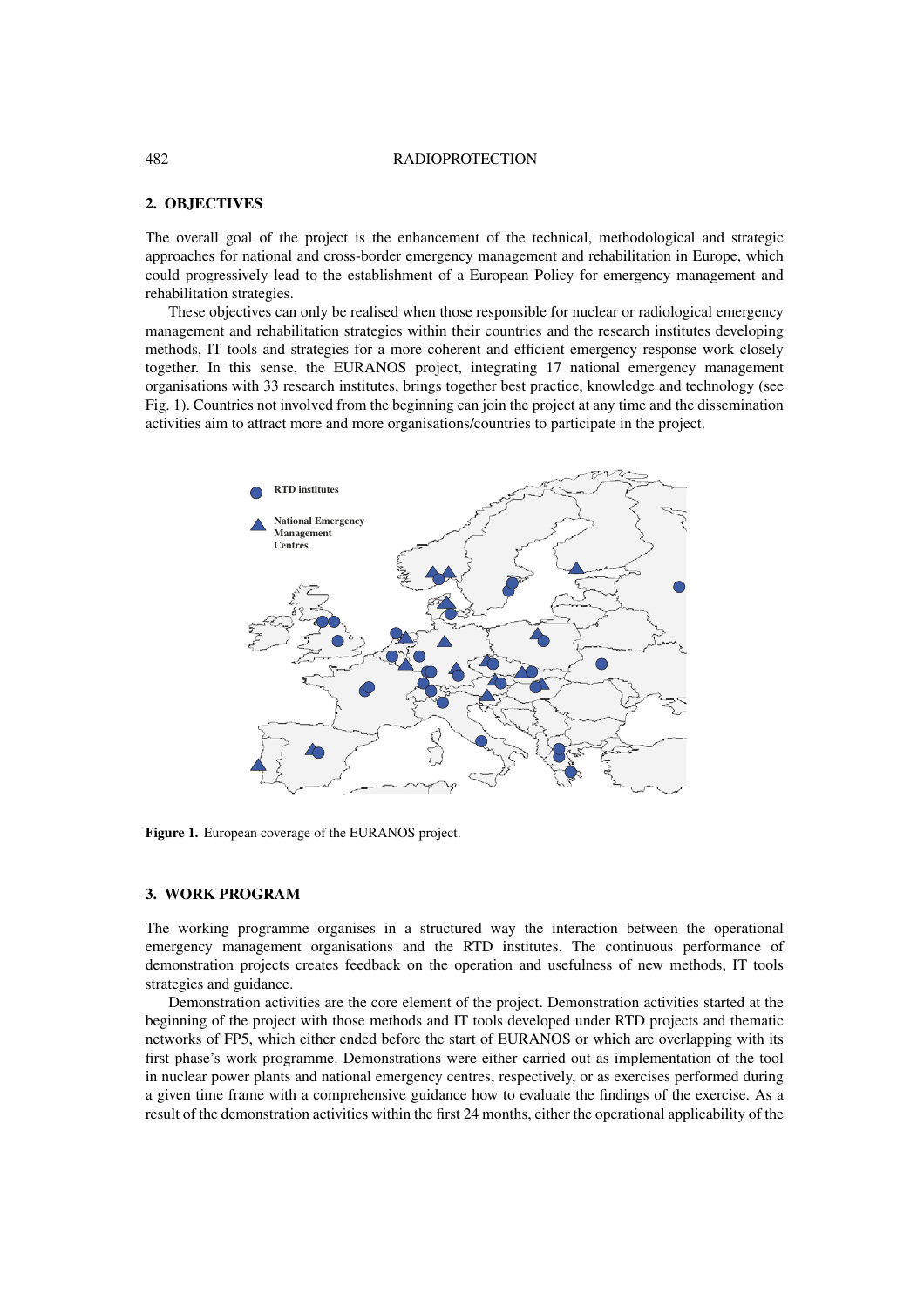#### 482 RADIOPROTECTION

# **2. OBJECTIVES**

The overall goal of the project is the enhancement of the technical, methodological and strategic approaches for national and cross-border emergency management and rehabilitation in Europe, which could progressively lead to the establishment of a European Policy for emergency management and rehabilitation strategies.

These objectives can only be realised when those responsible for nuclear or radiological emergency management and rehabilitation strategies within their countries and the research institutes developing methods, IT tools and strategies for a more coherent and efficient emergency response work closely together. In this sense, the EURANOS project, integrating 17 national emergency management organisations with 33 research institutes, brings together best practice, knowledge and technology (see Fig. 1). Countries not involved from the beginning can join the project at any time and the dissemination activities aim to attract more and more organisations/countries to participate in the project.



**Figure 1.** European coverage of the EURANOS project.

# **3. WORK PROGRAM**

The working programme organises in a structured way the interaction between the operational emergency management organisations and the RTD institutes. The continuous performance of demonstration projects creates feedback on the operation and usefulness of new methods, IT tools strategies and guidance.

Demonstration activities are the core element of the project. Demonstration activities started at the beginning of the project with those methods and IT tools developed under RTD projects and thematic networks of FP5, which either ended before the start of EURANOS or which are overlapping with its first phase's work programme. Demonstrations were either carried out as implementation of the tool in nuclear power plants and national emergency centres, respectively, or as exercises performed during a given time frame with a comprehensive guidance how to evaluate the findings of the exercise. As a result of the demonstration activities within the first 24 months, either the operational applicability of the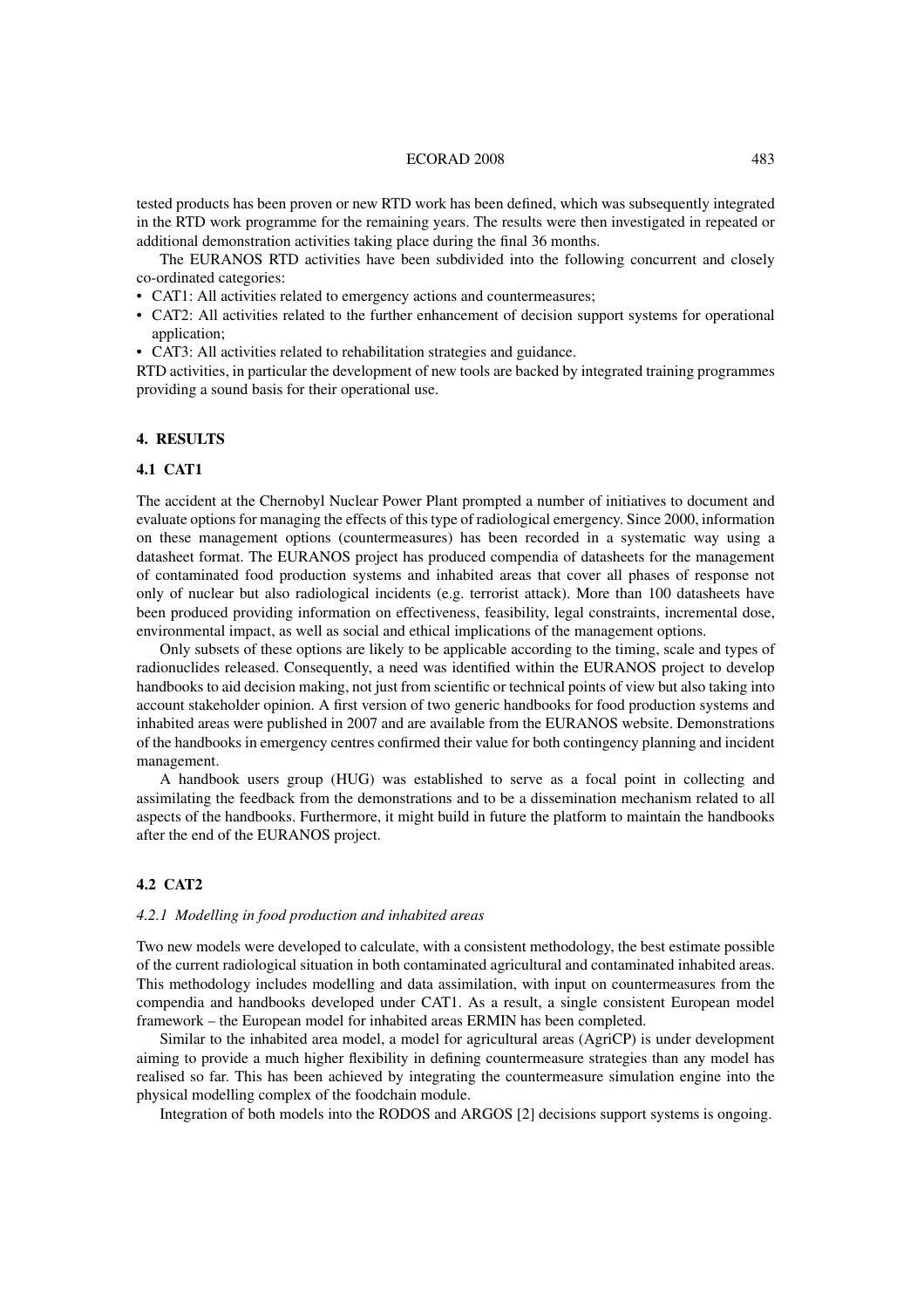#### ECORAD 2008 483

tested products has been proven or new RTD work has been defined, which was subsequently integrated in the RTD work programme for the remaining years. The results were then investigated in repeated or additional demonstration activities taking place during the final 36 months.

The EURANOS RTD activities have been subdivided into the following concurrent and closely co-ordinated categories:

- CAT1: All activities related to emergency actions and countermeasures;
- CAT2: All activities related to the further enhancement of decision support systems for operational application;
- CAT3: All activities related to rehabilitation strategies and guidance.

RTD activities, in particular the development of new tools are backed by integrated training programmes providing a sound basis for their operational use.

# **4. RESULTS**

### **4.1 CAT1**

The accident at the Chernobyl Nuclear Power Plant prompted a number of initiatives to document and evaluate options for managing the effects of this type of radiological emergency. Since 2000, information on these management options (countermeasures) has been recorded in a systematic way using a datasheet format. The EURANOS project has produced compendia of datasheets for the management of contaminated food production systems and inhabited areas that cover all phases of response not only of nuclear but also radiological incidents (e.g. terrorist attack). More than 100 datasheets have been produced providing information on effectiveness, feasibility, legal constraints, incremental dose, environmental impact, as well as social and ethical implications of the management options.

Only subsets of these options are likely to be applicable according to the timing, scale and types of radionuclides released. Consequently, a need was identified within the EURANOS project to develop handbooks to aid decision making, not just from scientific or technical points of view but also taking into account stakeholder opinion. A first version of two generic handbooks for food production systems and inhabited areas were published in 2007 and are available from the EURANOS website. Demonstrations of the handbooks in emergency centres confirmed their value for both contingency planning and incident management.

A handbook users group (HUG) was established to serve as a focal point in collecting and assimilating the feedback from the demonstrations and to be a dissemination mechanism related to all aspects of the handbooks. Furthermore, it might build in future the platform to maintain the handbooks after the end of the EURANOS project.

# **4.2 CAT2**

#### *4.2.1 Modelling in food production and inhabited areas*

Two new models were developed to calculate, with a consistent methodology, the best estimate possible of the current radiological situation in both contaminated agricultural and contaminated inhabited areas. This methodology includes modelling and data assimilation, with input on countermeasures from the compendia and handbooks developed under CAT1. As a result, a single consistent European model framework – the European model for inhabited areas ERMIN has been completed.

Similar to the inhabited area model, a model for agricultural areas (AgriCP) is under development aiming to provide a much higher flexibility in defining countermeasure strategies than any model has realised so far. This has been achieved by integrating the countermeasure simulation engine into the physical modelling complex of the foodchain module.

Integration of both models into the RODOS and ARGOS [2] decisions support systems is ongoing.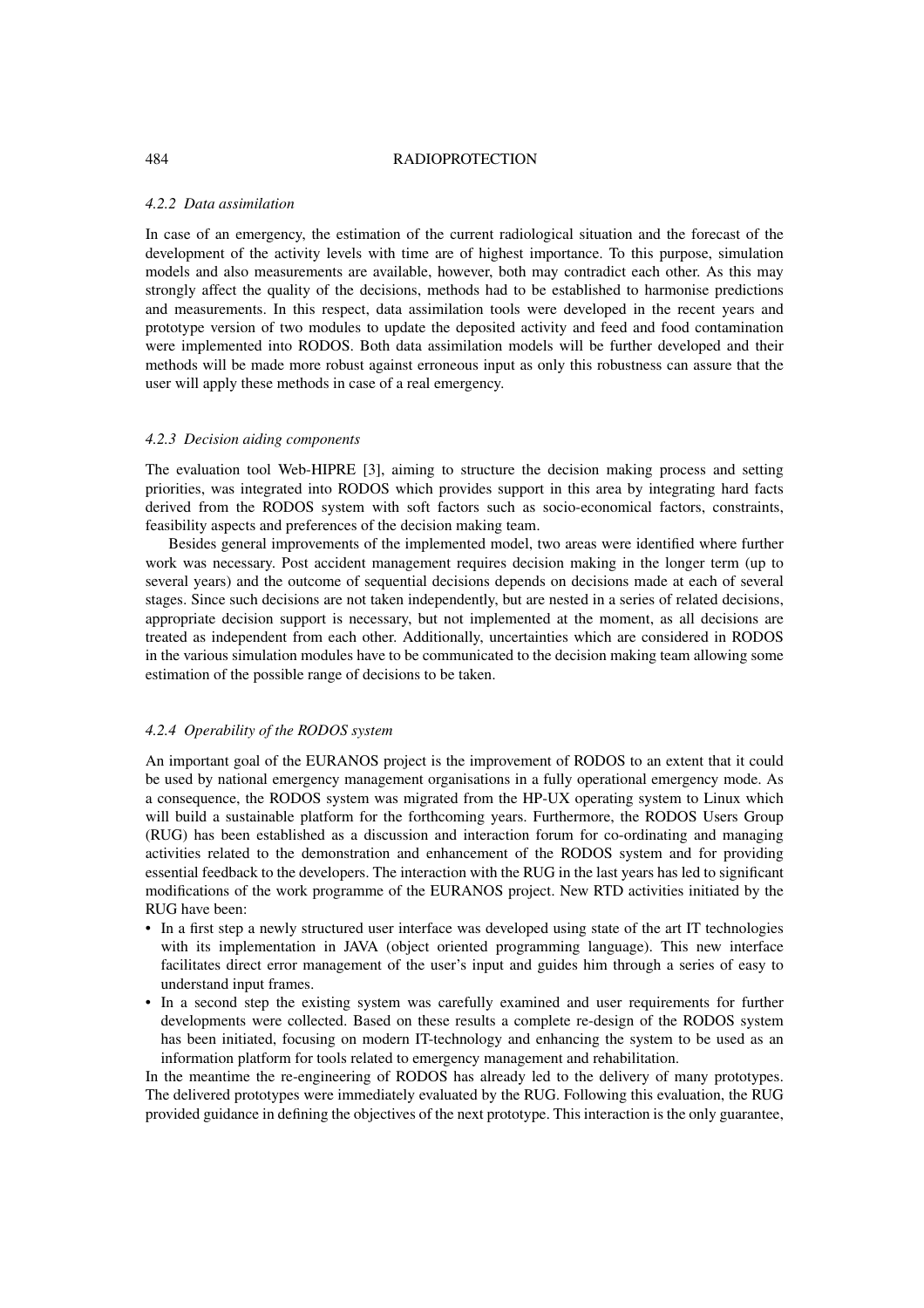#### 484 RADIOPROTECTION

#### *4.2.2 Data assimilation*

In case of an emergency, the estimation of the current radiological situation and the forecast of the development of the activity levels with time are of highest importance. To this purpose, simulation models and also measurements are available, however, both may contradict each other. As this may strongly affect the quality of the decisions, methods had to be established to harmonise predictions and measurements. In this respect, data assimilation tools were developed in the recent years and prototype version of two modules to update the deposited activity and feed and food contamination were implemented into RODOS. Both data assimilation models will be further developed and their methods will be made more robust against erroneous input as only this robustness can assure that the user will apply these methods in case of a real emergency.

### *4.2.3 Decision aiding components*

The evaluation tool Web-HIPRE [3], aiming to structure the decision making process and setting priorities, was integrated into RODOS which provides support in this area by integrating hard facts derived from the RODOS system with soft factors such as socio-economical factors, constraints, feasibility aspects and preferences of the decision making team.

Besides general improvements of the implemented model, two areas were identified where further work was necessary. Post accident management requires decision making in the longer term (up to several years) and the outcome of sequential decisions depends on decisions made at each of several stages. Since such decisions are not taken independently, but are nested in a series of related decisions, appropriate decision support is necessary, but not implemented at the moment, as all decisions are treated as independent from each other. Additionally, uncertainties which are considered in RODOS in the various simulation modules have to be communicated to the decision making team allowing some estimation of the possible range of decisions to be taken.

# *4.2.4 Operability of the RODOS system*

An important goal of the EURANOS project is the improvement of RODOS to an extent that it could be used by national emergency management organisations in a fully operational emergency mode. As a consequence, the RODOS system was migrated from the HP-UX operating system to Linux which will build a sustainable platform for the forthcoming years. Furthermore, the RODOS Users Group (RUG) has been established as a discussion and interaction forum for co-ordinating and managing activities related to the demonstration and enhancement of the RODOS system and for providing essential feedback to the developers. The interaction with the RUG in the last years has led to significant modifications of the work programme of the EURANOS project. New RTD activities initiated by the RUG have been:

- In a first step a newly structured user interface was developed using state of the art IT technologies with its implementation in JAVA (object oriented programming language). This new interface facilitates direct error management of the user's input and guides him through a series of easy to understand input frames.
- In a second step the existing system was carefully examined and user requirements for further developments were collected. Based on these results a complete re-design of the RODOS system has been initiated, focusing on modern IT-technology and enhancing the system to be used as an information platform for tools related to emergency management and rehabilitation.

In the meantime the re-engineering of RODOS has already led to the delivery of many prototypes. The delivered prototypes were immediately evaluated by the RUG. Following this evaluation, the RUG provided guidance in defining the objectives of the next prototype. This interaction is the only guarantee,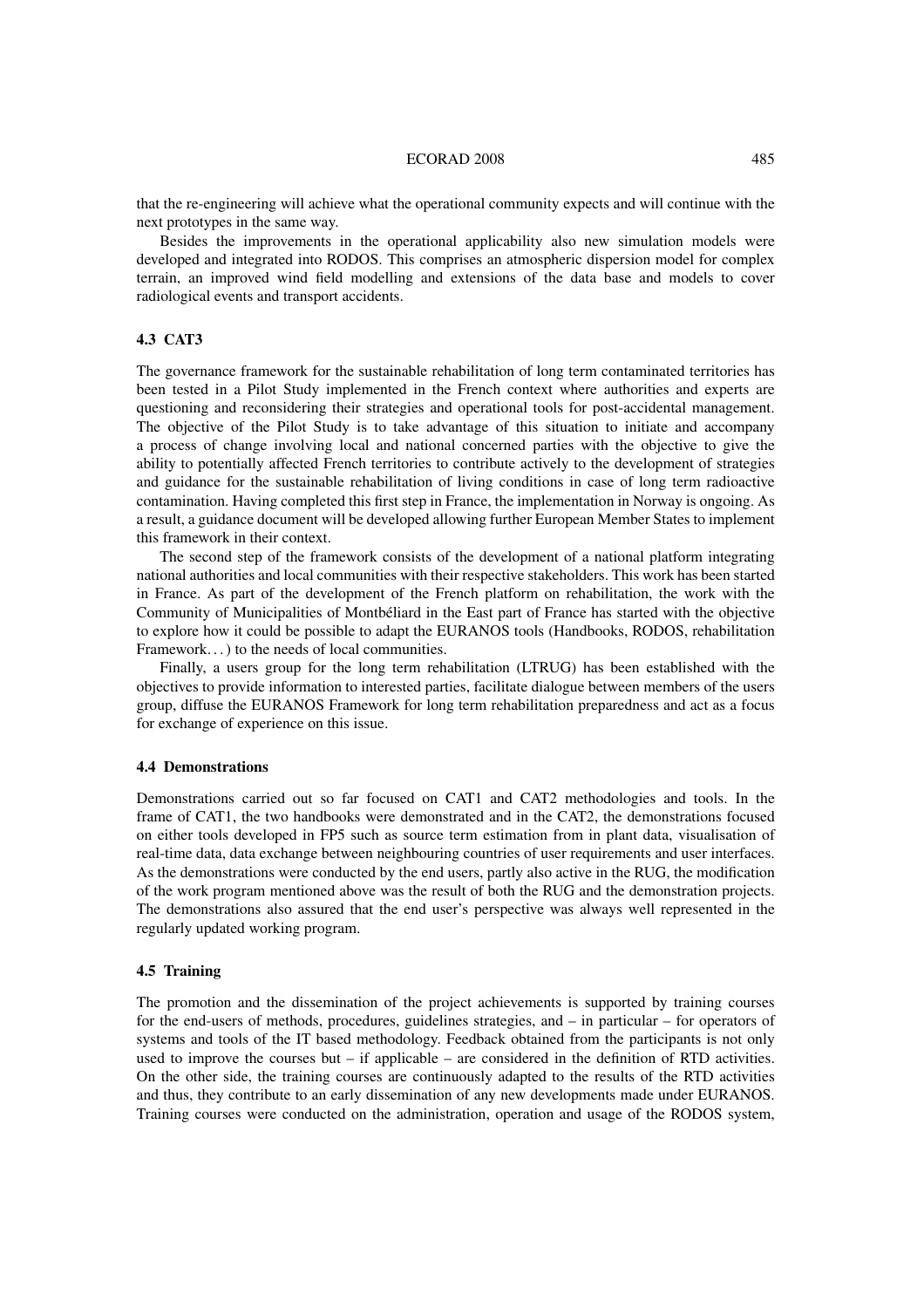#### ECORAD 2008 485

that the re-engineering will achieve what the operational community expects and will continue with the next prototypes in the same way.

Besides the improvements in the operational applicability also new simulation models were developed and integrated into RODOS. This comprises an atmospheric dispersion model for complex terrain, an improved wind field modelling and extensions of the data base and models to cover radiological events and transport accidents.

# **4.3 CAT3**

The governance framework for the sustainable rehabilitation of long term contaminated territories has been tested in a Pilot Study implemented in the French context where authorities and experts are questioning and reconsidering their strategies and operational tools for post-accidental management. The objective of the Pilot Study is to take advantage of this situation to initiate and accompany a process of change involving local and national concerned parties with the objective to give the ability to potentially affected French territories to contribute actively to the development of strategies and guidance for the sustainable rehabilitation of living conditions in case of long term radioactive contamination. Having completed this first step in France, the implementation in Norway is ongoing. As a result, a guidance document will be developed allowing further European Member States to implement this framework in their context.

The second step of the framework consists of the development of a national platform integrating national authorities and local communities with their respective stakeholders. This work has been started in France. As part of the development of the French platform on rehabilitation, the work with the Community of Municipalities of Montbéliard in the East part of France has started with the objective to explore how it could be possible to adapt the EURANOS tools (Handbooks, RODOS, rehabilitation Framework...) to the needs of local communities.

Finally, a users group for the long term rehabilitation (LTRUG) has been established with the objectives to provide information to interested parties, facilitate dialogue between members of the users group, diffuse the EURANOS Framework for long term rehabilitation preparedness and act as a focus for exchange of experience on this issue.

#### **4.4 Demonstrations**

Demonstrations carried out so far focused on CAT1 and CAT2 methodologies and tools. In the frame of CAT1, the two handbooks were demonstrated and in the CAT2, the demonstrations focused on either tools developed in FP5 such as source term estimation from in plant data, visualisation of real-time data, data exchange between neighbouring countries of user requirements and user interfaces. As the demonstrations were conducted by the end users, partly also active in the RUG, the modification of the work program mentioned above was the result of both the RUG and the demonstration projects. The demonstrations also assured that the end user's perspective was always well represented in the regularly updated working program.

#### **4.5 Training**

The promotion and the dissemination of the project achievements is supported by training courses for the end-users of methods, procedures, guidelines strategies, and – in particular – for operators of systems and tools of the IT based methodology. Feedback obtained from the participants is not only used to improve the courses but – if applicable – are considered in the definition of RTD activities. On the other side, the training courses are continuously adapted to the results of the RTD activities and thus, they contribute to an early dissemination of any new developments made under EURANOS. Training courses were conducted on the administration, operation and usage of the RODOS system,